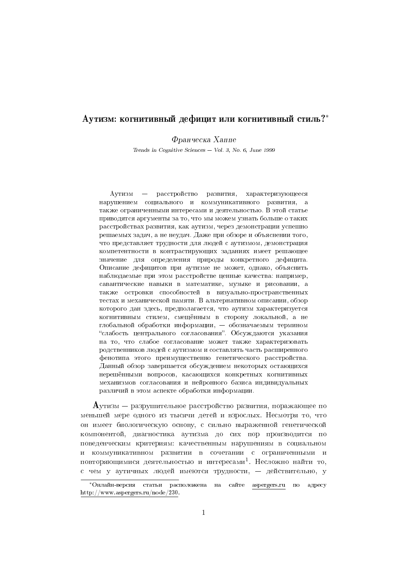# $\rm A$ утизм: когнитивный дефицит или когнитивный стиль?\*

Франческа Хаппе

Trends in Cognitive Sciences - Vol. 3, No. 6, June 1999

Аутизм - расстройство развития, характеризующееся нарушением социального и коммуникативного развития, а также ограниченными интересами и деятельностью. В этой статье приводятся аргументы за то, что мы можем узнать больше о таких расстройствах развития, как аутизм, через демонстрации успешно решаемых задач, а не неудач. Даже при обзоре и объяснении того, что представляет трудности для людей с аутизмом, демонстрация компетентности в контрастирующих заданиях имеет решающее значение для определения природы конкретного дефицита. Описание дефицитов при аутизме не может, однако, объяснить наблюдаемые при этом расстройстве ценные качества: например. савантические навыки в математике, музыке и рисовании, а также островки способностей в визуально-пространственных тестах и механической памяти. В альтернативном описании, обзор которого дан здесь, предполагается, что аутизм характеризуется когнитивным стилем, смещённым в сторону локальной, а не глобальной обработки информации, — обозначаемым термином "слабость центрального согласования". Обсуждаются указания на то, что слабое согласование может также характеризовать родственников людей с аутизмом и составлять часть расширенного фенотипа этого преимущественно генетического расстройства. Данный обзор завершается обсуждением некоторых остающихся нерешёнными вопросов, касающихся конкретных когнитивных механизмов согласования и нейронного базиса индивидуальных различий в этом аспекте обработки информации.

 $\rm A$ утизм — разрушительное расстройство развития, поражающее по меньшей мере одного из тысячи детей и взрослых. Несмотря то, что он имеет биологическую основу, с сильно выраженной генетической компонентой, диагностика аутизма до сих пор производится по поведенческим критериям: качественным нарушениям в социальном и коммуникативном развитии в сочетании с ограниченными и повторяющимися деятельностью и интересами<sup>1</sup>. Несложно найти то, с чем у аутичных людей имеются трудности, - действительно, у

<sup>\*</sup>Онлайн-версия статьи расположена на сайте aspergers.ru по адресу http://www.aspergers.ru/node/230.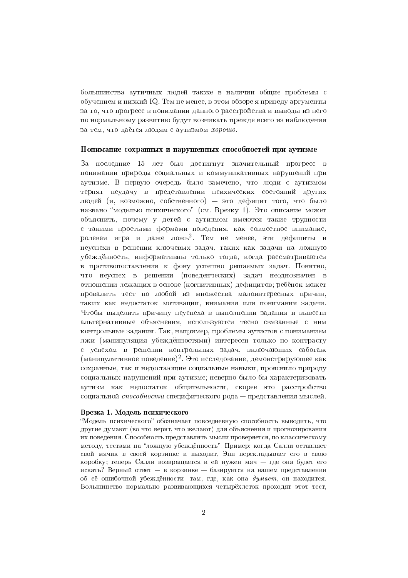большинства аутичных людей также в наличии общие проблемы с обучением и низкий IQ. Тем не менее, в этом обзоре я приведу аргументы за то, что прогресс в понимании данного расстройства и выводы из него по нормальному развитию будут возникать прежде всего из наблюдения за тем, что даётся людям с аутизмом хорошо.

## Понимание сохранных и нарушенных способностей при аутизме

За последние 15 лет был достигнут значительный прогресс в понимании природы социальных и коммуникативных нарушений при аутизме. В первую очередь было замечено, что люди с аутизмом терпят неудачу в представлении психических состояний других людей (и, возможно, собственного) - это дефицит того, что было названо "моделью психического" (см. Врезку 1). Это описание может объяснить, почему у детей с аутизмом имеются такие трудности с такими простыми формами поведения, как совместное внимание, ролевая игра и даже ложь<sup>2</sup>. Тем не менее, эти дефициты и неуспехи в решении ключевых задач, таких как задачи на ложную убеждённость, информативны только тогда, когда рассматриваются в противопоставлении к фону успешно решаемых задач. Понятно, что неуспех в решении (повеленческих) залач неолнозначен в отношении лежащих в основе (когнитивных) дефицитов; ребёнок может провалить тест по любой из множества малоинтересных причин, таких как недостаток мотивации, внимания или понимания задачи. Чтобы выделить причину неуспеха в выполнении задания и вывести альтернативные объяснения, используются тесно связанные с ним контрольные задания. Так, например, проблемы аутистов с пониманием лжи (манипуляция убеждённостями) интересен только по контрасту с успехом в решении контрольных задач, включающих саботаж (манипулятивное поведение)<sup>2</sup>. Это исследование, демонстрирующее как сохранные, так и недостающие социальные навыки, прояснило природу социальных нарушений при аутизме; неверно было бы характеризовать аутизм как недостаток общительности, скорее это расстройство социальной способности специфического рола — представления мыслей.

#### Врезка 1. Модель психического

"Модель психического" обозначает повседневную способность выводить, что другие думают (во что верят, что желают) для объяснения и прогнозирования их поведения. Способность представлять мысли проверяется, по классическому методу, тестами на "ложную убеждённость". Пример: когда Салли оставляет свой мячик в своей корзинке и выходит, Энн перекладывает его в свою коробку; теперь Салли возвращается и ей нужен мяч — где она будет его искать? Верный ответ - в корзинке - базируется на нашем представлении об её ошибочной убеждённости: там, где, как она думает, он находится. Большинство нормально развивающихся четырёхлеток проходят этот тест,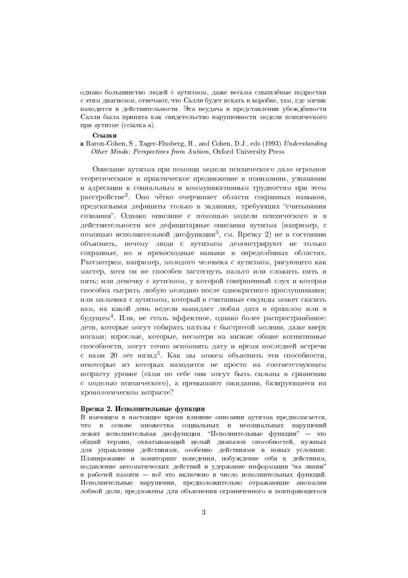однако большинство людей с аутизмом, даже весьма смышлёные подростки с этим диагнозом, отвечают, что Салли будет искать в коробке, там, где мячик находится в действительности. Эта неудача в представлении убеждённости Салли была принята как свидетельство нарушенности модели психического при аутизме (ссылка а).

#### Ссылки

a Baron-Cohen, S., Tager-Flusberg, H., and Cohen, D.J., eds (1993) Understanding Other Minds: Perspectives from Autism, Oxford University Press

Описание аутизма при помощи модели психического дало огромное теоретическиое и практическое продвижение в понимании, узнавании и адресации к социальным и коммуникативным трудностям при этом расстройстве<sup>2</sup>. Оно чётко очерчивает области сохранных навыков, предсказывая дефициты только в заданиях, требующих "считывания сознания". Однако описание с помощью модели психического и в действительности все дефицитарные описания аутизма (например, с помощью исполнительной дисфункции<sup>3</sup>, см. Врезку 2) не в состоянии объяснить, почему люди с аутизмом демонстрируют не только сохранные, но и превосходные навыки в определённых областях. Рассмотрим, например, молодого человека с аутизмом, рисующего как мастер, хотя он не способен застегнуть пальто или сложить пять и пять; или девочку с аутизмом, у которой совершенный слух и которая способна сыграть любую мелодию после однократного прослушивания: или мальчика с аутизмом, который в считанные секунды может сказать вам, на какой день недели выпадает любая дата в прошлом или в будущем<sup>4</sup>. Или, не столь эффектное, однако более распространённое: дети, которые могут собирать паззлы с быстротой молнии, даже вверх ногами; взрослые, которые, несмотря на низкие общие когнитивные способности, могут точно вспомнить дату и время последней встречи с вами 20 лет назад<sup>5</sup>. Как мы можем объяснить эти способности, некоторые из которых находятся не просто на соответствующем возрасту уровне (сами по себе они могут быть сильны в сравнении с моделью психического), а превышают ожидания, базирующиеся на хронологическом возрасте?

## Врезка 2. Исполнительные функции

В имеющем в настоящее время влияние описании аутизма предполагается, что в основе множества социальных и несоциальных нарушений лежит исполнительная дисфункция. "Исполнительные функции" - это общий термин, охватывающий целый диапазон способностей, нужных для управления действиями, особенно действиями в новых условиях. Планирование и мониторинг поведения, побуждение себя к действиям, подавление автоматических действий и удержание информации "на линии" в рабочей памяти - всё это включено в число исполнительных функций. Исполнительные нарушения, предположительно отражающие аномалии лобной доли, предложены для объяснения ограниченного и повторяющегося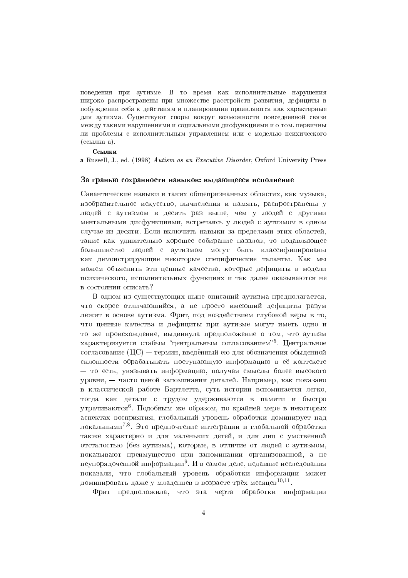поведения при аутизме. В то время как исполнительные нарушения широко распространены при множестве расстройств развития, дефициты в побуждении себя к действиям и планировании проявляются как характерные для аутизма. Существуют споры вокруг возможности повседневной связи между такими нарушениями и социальными дисфункциями и о том, первичны ли проблемы с исполнительным управлением или с моделью психического (ссылка а).

#### Ссылки

a Russell, J., ed. (1998) Autism as an Executive Disorder, Oxford University Press

#### За гранью сохранности навыков: выдающееся исполнение

Савантические навыки в таких общепризнанных областях, как музыка, изобразительное искусство, вычисления и память, распространены у людей с аутизмом в десять раз выше, чем у людей с другими ментальными дисфункциями, встречаясь у людей с аутизмом в одном случае из десяти. Если включить навыки за пределами этих областей. такие как удивительно хорошее собирание паззлов, то подавляющее большинство людей с аутизмом могут быть классифицированы как демонстрирующие некоторые специфические таланты. Как мы можем объяснить эти ценные качества, которые дефициты в модели психического, исполнительных функциях и так далее оказываются не в состоянии описать?

В одном из существующих ныне описаний аутизма предполагается, что скорее отличающийся, а не просто имеющий дефициты разум лежит в основе аутизма. Фрит, под воздействием глубокой веры в то, что ценные качества и дефициты при аутизме могут иметь одно и то же происхождение, выдвинула предположение о том, что аутизм характеризуется слабым "центральным согласованием"<sup>5</sup>. Центральное согласование (IIC) — термин, введённый ею для обозначения обыденной склонности обрабатывать поступающую информацию в её контексте - то есть, увязывать информацию, получая смыслы более высокого уровня. — часто ценой запоминания деталей. Например, как показано в классической работе Бартлетта, суть истории вспоминается легко, тогда как детали с трудом удерживаются в памяти и быстро утрачиваются<sup>6</sup>. Подобным же образом, по крайней мере в некоторых аспектах восприятия, глобальный уровень обработки доминирует над локальными<sup>7,8</sup>. Это предпочтение интеграции и глобальной обработки также характерно и для маленьких детей, и для лиц с умственной отсталостью (без аутизма), которые, в отличие от людей с аутизмом, показывают преимущество при запоминании организованной, а не неупорядоченной информации<sup>9</sup>. И в самом деле, недавние исследования показали, что глобальный уровень обработки информации может доминировать даже у младенцев в возрасте трёх месяцев<sup>10,11</sup>

Фрит предположила, что эта черта обработки информации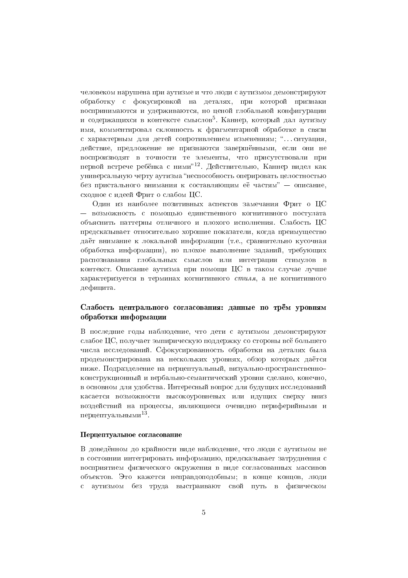человеком нарушена при аутизме и что люди с аутизмом демонстрируют обработку с фокусировкой на деталях, при которой признаки воспринимаются и удерживаются, но ценой глобальной конфигурации и содержащихся в контексте смыслов<sup>5</sup>. Каннер, который дал аутизму имя, комментировал склонность к фрагментарной обработке в связи с характерным для детей сопротивлением изменениям; "... ситуация, лействие, предложение не признаются завершёнными, если они не воспроизводят в точности те элементы, что присутствовали при первой встрече ребёнка с ними"<sup>12</sup>. Действительно, Каннер видел как универсальную черту аутизма "неспособность оперировать целостностью без пристального внимания к составляющим её частям" - описание, сходное с идеей Фрит о слабом ЦС.

Один из наиболее позитивных аспектов замечания Фрит о ЦС - возможность с помощью единственного когнитивного постулата объяснить паттерны отличного и плохого исполнения. Слабость ЦС предсказывает относительно хорошие показатели, когда преимущество даёт внимание к локальной информации (т.е., сравнительно кусочная обработка информации), но плохое выполнение заданий, требующих распознавания глобальных смыслов или интеграции стимулов в контекст. Описание аутизма при помощи ЦС в таком случае лучше характеризуется в терминах когнитивного стиля, а не когнитивного лефинита.

# Слабость центрального согласования: данные по трём уровням обработки информации

В последние годы наблюдение, что дети с аутизмом демонстрируют слабое ЦС, получает эмпирическую поддержку со стороны всё большего числа исслелований. Сфокусированность обработки на леталях была продемонстрирована на нескольких уровнях, обзор которых даётся ниже. Подразделение на перцептуальный, визуально-пространственноконструкционный и вербально-семантический уровни сделано, конечно, в основном для удобства. Интересный вопрос для будущих исследований касается возможности высокоуровневых или идущих сверху вниз воздействий на процессы, являющиеся очевидно периферийными и перцептуальными<sup>13</sup>.

### Перпептуальное согласование

В доведённом до крайности виде наблюдение, что люди с аутизмом не в состоянии интегрировать информацию, предсказывает затруднения с восприятием физического окружения в виде согласованных массивов объектов. Это кажется неправдоподобным; в конце концов, люди  $\mathbf{c}$ аутизмом без труда выстраивают свой путь в физическом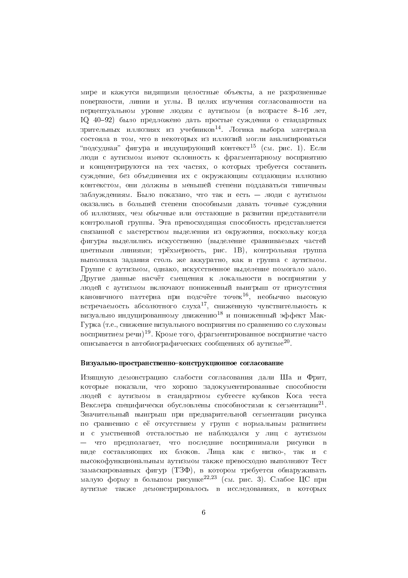мире и кажутся видящими целостные объекты, а не разрозненные поверхности, линии и углы. В целях изучения согласованности на перцептуальном уровне людям с аутизмом (в возрасте 8-16 лет, IQ 40-92) было предложено дать простые суждения о стандартных зрительных иллюзиях из учебников<sup>14</sup>. Логика выбора материала состояла в том, что в некоторых из иллюзий могли анализироваться "полсулная" фигура и индуцирующий контекст<sup>15</sup> (см. рис. 1). Если люди с аутизмом имеют склонность к фрагментарному восприятию и концентрируются на тех частях, о которых требуется составить суждение, без объединения их с окружающим создающим иллюзию контекстом, они должны в меньшей степени поддаваться типичным заблуждениям. Было показано, что так и есть - люди с аутизмом оказались в большей степени способными давать точные суждения об иллюзиях, чем обычные или отстающие в развитии представители контрольной группы. Эта превосходящая способность представляется связанной с мастерством выделения из окружения, поскольку когда фигуры выделялись искусственно (выделение сравниваемых частей цветными линиями; трёхмерность, рис. 1В), контрольная группа выполняла задания столь же аккуратно, как и группа с аутизмом. Группе с аутизмом, однако, искусственное выделение помогало мало. Другие данные насчёт смещения к локальности в восприятии у людей с аутизмом включают пониженный выигрыш от присутствия каноничного паттерна при подсчёте точек<sup>16</sup>, необычно высокую встречаемость абсолютного слуха<sup>17</sup>, сниженную чувствительность к визуально индуцированному движению<sup>18</sup> и пониженный эффект Мак-Гурка (т.е., снижение визуального восприятия по сравнению со слуховым восприятием речи)<sup>19</sup>. Кроме того, фрагментированное восприятие часто описывается в автобиографических сообщениях об аутизме<sup>20</sup>.

## Визуально-пространственно-конструкционное согласование

Изящную демонстрацию слабости согласования дали Ша и Фрит, которые показали, что хорошо задокументированные способности людей с аутизмом в стандартном субтесте кубиков Коса теста Векслера специфически обусловлены способностями к сегментации<sup>21</sup>. Значительный выигрыш при предварительной сегментации рисунка по сравнению с её отсутствием у групп с нормальным развитием и с умственной отсталостью не наблюдался у лиц с аутизмом — что предполагает, что последние воспринимали рисунки в виде составляющих их блоков. Лица как с низко-, так и с высокофункциональным аутизмом также превосходно выполняют Тест замаскированных фигур (ТЗФ), в котором требуется обнаруживать малую форму в большом рисунке<sup>22,23</sup> (см. рис. 3). Слабое ЦС при аутизме также демонстрировалось в исследованиях, в которых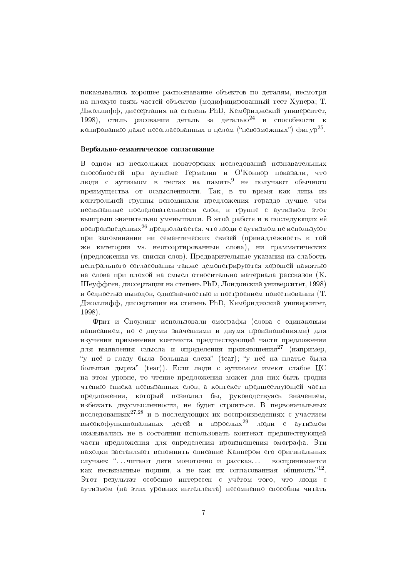показывались хорошее распознавание объектов по деталям, несмотря на плохую связь частей объектов (модифицированный тест Хупера; Т. Джоллифф, диссертация на степень PhD, Кембриджский университет, 1998), стиль рисования деталь за деталью<sup>24</sup> и способности к копированию даже несогласованных в целом ("невозможных") фигур<sup>25</sup>.

## Вербально-семантическое согласование

В одном из нескольких новаторских исследований познавательных способностей при аутизме Гермелин и О'Коннор показали, что люди с аутизмом в тестах на память<sup>9</sup> не получают обычного преимущества от осмысленности. Так, в то время как лица из контрольной группы вспоминали предложения гораздо лучше, чем несвязанные последовательности слов, в группе с аутизмом этот выигрыш значительно уменьшился. В этой работе и в последующих её воспроизведениях<sup>26</sup> предполагается, что люди с аутизмом не используют при запоминании ни семантических связей (принадлежность к той же категории vs. неотсортированные слова), ни грамматических (предложения vs. списки слов). Предварительные указания на слабость центрального согласования также демонстрируются хорошей памятью на слова при плохой на смысл относительно материала рассказов (К. Шеуффген, диссертация на степень PhD, Лондонский университет, 1998) и бедностью выводов, однозначностью и построением повествования (Т. Джоллифф, диссертация на степень PhD, Кембриджский университет, 1998).

Фрит и Сноудинг использовали омографы (слова с одинаковым написанием, но с двумя значениями и двумя произношениями) для изучения применения контекста предшествующей части предложения для выявления смысла и определения произношения<sup>27</sup> (например, "у неё в глазу была большая слеза" (tear); "у неё на платье была большая дырка" (tear)). Если люди с аутизмом имеют слабое ЦС на этом уровне, то чтение предложения может для них быть сродни чтению списка несвязанных слов, а контекст предшествующей части предложения, который позволил бы, руководствуясь значением, избежать двусмысленности, не будет строиться. В первоначальных исследованиях<sup>27,28</sup> и в последующих их воспроизведениях с участием высокофункциональных детей и взрослых<sup>29</sup> люди с аутизмом оказывались не в состоянии использовать контекст предшествующей части предложения для определения произношения омографа. Эти находки заставляют вспомнить описание Каннером его оригинальных случаев: "... читают дети монотонно и рассказ... воспринимается как несвязанные порции, а не как их согласованная общность"<sup>12</sup>. Этот результат особенно интересен с учётом того, что люли с аутизмом (на этих уровнях интеллекта) несомненно способны читать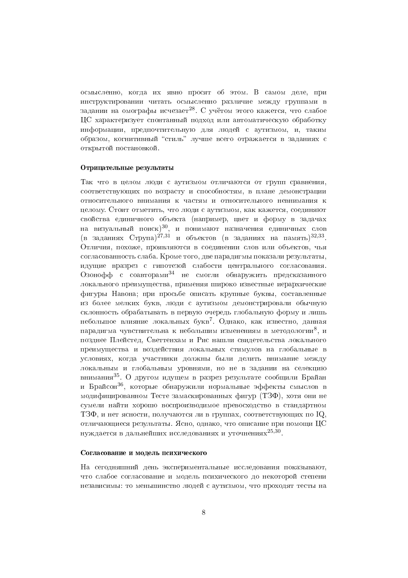осмысленно, когда их явно просят об этом. В самом деле, при инструктировании читать осмысленно различие между группами в задании на омографы исчезает<sup>28</sup>. С учётом этого кажется, что слабое ЦС характеризует спонтанный подход или автоматическую обработку информации, предпочтительную для людей с аутизмом, и, таким образом, когнитивный "стиль" лучше всего отражается в заданиях с открытой постановкой.

## Отрицательные результаты

Так что в целом люди с аутизмом отличаются от групп сравнения, соответствующих по возрасту и способностям, в плане демонстрации относительного внимания к частям и относительного невнимания к целому. Стоит отметить, что люди с аутизмом, как кажется, соединяют свойства единичного объекта (например, цвет и форму в задачах на визуальный поиск)<sup>30</sup>, и понимают назначения единичных слов (в заданиях Струпа)<sup>27,31</sup> и объектов (в заданиях на память)<sup>32,33</sup>. Отличия, похоже, проявляются в соединении слов или объектов, чья согласованность слаба. Кроме того, две парадигмы показали результаты, идущие вразрез с гипотезой слабости центрального согласования. Озонофф с соавторами<sup>34</sup> не смогли обнаружить предсказанного локального преимущества, применяя широко известные иерархические фигуры Навона; при просьбе описать крупные буквы, составленные из более мелких букв, люди с аутизмом демонстрировали обычную склонность обрабатывать в первую очередь глобальную форму и лишь небольшое влияние докальных букв<sup>7</sup>. Однако, как известно, данная паралигма чувствительна к небольшим изменениям в метолологии<sup>8</sup>, и позднее Плейстед, Светтенхам и Рис нашли свидетельства локального преимущества и воздействия локальных стимулов на глобальные в условиях, когда участники должны были делить внимание между локальным и глобальным уровнями, но не в задании на селекцию внимания<sup>35</sup>. О другом идущем в разрез результате сообщили Брайан и Брайсон<sup>36</sup>, которые обнаружили нормальные эффекты смыслов в модифицированном Тесте замаскированных фигур (ТЗФ), хотя они не сумели найти хорошо воспроизводимое превосходство в стандартном ТЗФ, и нет ясности, получаются ли в группах, соответствующих по IQ, отличающиеся результаты. Ясно, однако, что описание при помощи ЦС нуждается в дальнейших исследованиях и уточнениях<sup>25,30</sup>.

#### Согласование и модель психического

На сегодняшний день экспериментальные исследования показывают, что слабое согласование и модель психического до некоторой степени независимы: то меньшинство людей с аутизмом, что проходят тесты на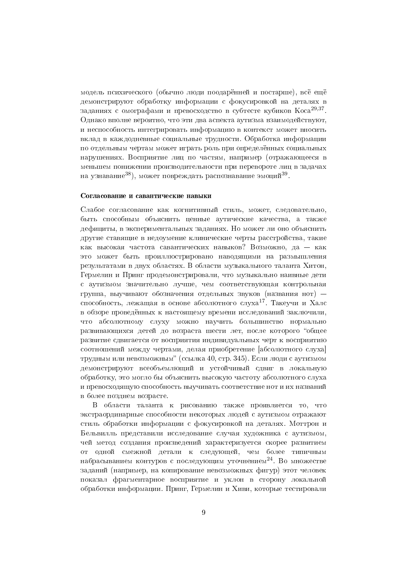модель психического (обычно люди поодарённей и постарше), всё ещё демонстрируют обработку информации с фокусировкой на деталях в заданиях с омографами и превосходство в субтесте кубиков Коса<sup>29,37</sup>. Однако вполне вероятно, что эти два аспекта аутизма взаимодействуют, и неспособность интегрировать информацию в контекст может вносить вклад в каждодневные социальные трудности. Обработка информации по отдельным чертам может играть роль при определённых социальных нарушениях. Восприятие лиц по частям, например (отражающееся в меньшем понижении производительности при перевороте лиц в задачах на узнавание<sup>38</sup>), может повреждать распознавание эмоций<sup>39</sup>.

#### Согласование и савантические навыки

Слабое согласование как когнитивный стиль, может, следовательно, быть способным объяснить ценные аутические качества, а также дефициты, в экспериментальных заданиях. Но может ли оно объяснить другие ставящие в недоумение клинические черты расстройства, такие как высокая частота савантических навыков? Возможно, да - как это может быть проиллюстрировано наводящими на размышления результатами в двух областях. В области музыкального таланта Хитон, Гермелин и Принг продемонстрировали, что музыкально наивные дети с аутизмом значительно лучше, чем соответствующая контрольная группа, выучивают обозначения отдельных звуков (названия нот) способность, лежащая в основе абсолютного слуха<sup>17</sup>. Такеучи и Халс в обзоре проведённых к настоящему времени исследований заключили. что абсолютному слуху можно научить большинство нормально развивающихся детей до возраста шести лет, после которого "общее развитие сдвигается от восприятия индивидуальных черт к восприятию соотношений между чертами, делая приобретение [абсолютного слуха] трудным или невозможным" (ссылка 40, стр. 345). Если люди с аутизмом демонстрируют всеобъемлющий и устойчивый сдвиг в локальную обработку, это могло бы объяснить высокую частоту абсолютного слуха и превосходящую способность выучивать соответствие нот и их названий в более позднем возрасте.

В области таланта к рисованию также проявляется то, что экстраординарные способности некоторых людей с аутизмом отражают стиль обработки информации с фокусировкой на деталях. Моттрон и Бельвилль представили исследование случая художника с аутизмом, чей метод создания произведений характеризуется скорее развитием одной смежной детали к следующей, чем более типичным **OT** набрасыванием контуров с последующим уточнением<sup>24</sup>. Во множестве заданий (например, на копирование невозможных фигур) этот человек показал фрагментарное восприятие и уклон в сторону локальной обработки информации. Принг, Гермелин и Хиви, которые тестировали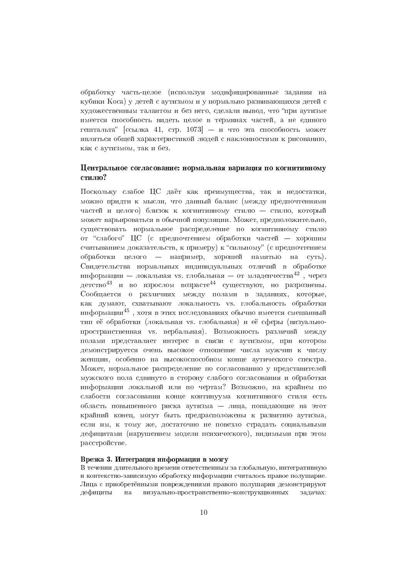обработку часть-целое (используя модифицированные задания на кубики Koca) у детей с аутизмом и у нормально развивающихся детей с художественным талантом и без него, сделали вывод, что "при аутизме имеется способность видеть целое в терминах частей, а не единого гештальта" [ссылка 41, стр. 1073] - и что эта способность может являться общей характеристикой людей с наклонностями к рисованию, как с аутизмом. так и без.

# Центральное согласование: нормальная вариация по когнитивному стилю?

Поскольку слабое ЦС даёт как преимущества, так и недостатки, можно придти к мысли, что данный баланс (между предпочтениями частей и пелого) близок к когнитивному стилю - стилю, который может варьироваться в обычной популяции. Может, предположительно, существовать нормальное распределение по когнитивному стилю от "слабого" ЦС (с предпочтением обработки частей - хорошим считыванием доказательств, к примеру) к "сильному" (с предпочтением обработки целого — например, хорошей памятью на суть). Свидетельства нормальных индивидуальных отличий в обработке информации — локальная vs. глобальная — от младенчества<sup>42</sup>, через детство<sup>43</sup> и во взрослом возрасте<sup>44</sup> существуют, но разрознены. Сообщается о различиях между полами в заданиях, которые, как думают, схватывают локальность vs. глобальность обработки информации<sup>45</sup>, хотя в этих исследованиях обычно имеется смешанный тип её обработки (локальная vs. глобальная) и её сферы (визуальнопространственная vs. вербальная). Возможность различий между полами представляет интерес в связи с аутизмом, при котором лемонстрируется очень высокое отношение числа мужчин к числу женщин, особенно на высокоспособном конце аутического спектра. Может, нормальное распределение по согласованию у представителей мужского пола сдвинуто в сторону слабого согласования и обработки информации локальной или по чертам? Возможно, на крайнем по слабости согласования конце континуума когнитивного стиля есть область повышенного риска аутизма - лица, попадающие на этот крайний конец, могут быть предрасположены к развитию аутизма, если им, к тому же, достаточно не повезло страдать социальными дефицитами (нарушением модели психического), видимыми при этом расстройстве.

#### Врезка 3. Интеграция информации в мозгу

В течении длительного времени ответственным за глобальную, интегративную и контекстно-зависимую обработку информации считалось правое полушарие. Лица с приобретёнными повреждениями правого полушария демонстрируют на визуально-пространственно-конструкционных дефициты задачах: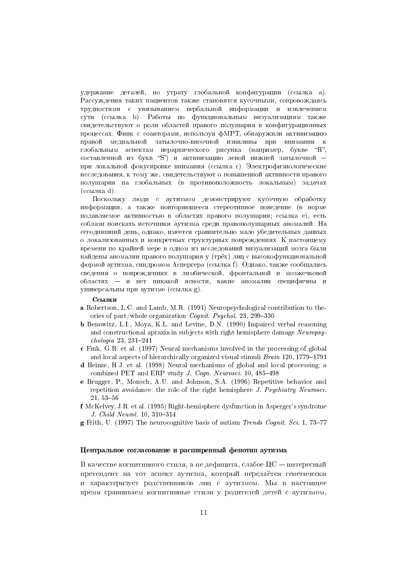удержание деталей, но утрату глобальной конфигурации (ссылка а). Рассуждения таких пациентов также становятся кусочными, сопровождаясь трудностями с увязыванием вербальной информации и извлечением сути (ссылка b). Работы по функциональным визуализациям также свидетельствуют о роли областей правого полушария в конфигурационных процессах. Финк с соавторами, используя фМРТ, обнаружили активизацию правой медиальной затылочно-височной извилины при внимании к глобальным аспектам иерархического рисунка (например, букве "Н", составленной из букв "S") и активизацию левой нижней затылочной при локальной фокусировке внимания (ссылка с). Электрофизиологические исследования, к тому же, свидетельствуют о повышенной активности правого полушария на глобальных (в противоположность локальным) задачах  $(c$ сылка d).

Поскольку люди с аутизмом демонстрируют кусочную обработку информации, а также повторяющееся стереотипное поведение (в норме подавляемое активностью в областях правого полушария; ссылка е), есть соблазн поискать источники аутизма среди правополушарных аномалий. На сегодняшний день, однако, имеется сравнительно мало убедительных данных о локализованных и конкретных структурных повреждениях. К настоящему времени по крайней мере в одном из исследований визуализаций мозга были найдены аномалии правого полушария у (трёх) лиц с высокофункциональной формой аутизма, синдромом Аспергера (ссылка f). Однако, также сообщались сведения о повреждениях в лимбической, фронтальной и мозжечковой областях - и нет никакой ясности, какие аномалии специфичны и универсальны при аутизме (ссылка g).

## Ссылки

- a Robertson, L.C. and Lamb, M.R. (1991) Neuropsychological contribution to theories of part/whole organization *Cognit. Psychol.* 23, 299-330
- **b** Benowitz, L.I., Moya, K.L. and Levine, D.N. (1990) Impaired verbal reasoning and constructional apraxia in subjects with right hemisphere damage Neuropsy $chologia 23, 231 - 241$
- c Fink, G.R. et al. (1997) Neural mechanisms involved in the processing of global and local aspects of hierarchically organized visual stimuli Brain 120, 1779-1791
- d Heinze, H.J. et al. (1998) Neural mechanisms of global and local processing: a combined PET and ERP study *J. Cogn. Neurosci.* 10, 485-498
- e Brugger, P., Monsch, A.U. and Johnson, S.A. (1996) Repetitive behavior and repetition avoidance: the role of the right hemisphere J. Psychiatry Neurosci.  $21,53 - 56$
- f McKelvey, J.R. et al. (1995) Right-hemisphere dysfunction in Asperger's syndrome J. Child Neurol. 10, 310-314

**g** Frith, U. (1997) The neurocognitive basis of autism Trends Cognit. Sci. 1, 73-77

# Центральное согласование и расширенный фенотип аутизма

В качестве когнитивного стиля, а не дефицита, слабое ЦС — интересный претендент на тот аспект аутизма, который передаётся генетически и характеризует родственников лиц с аутизмом. Мы в настоящее время сравниваем когнитивные стили у родителей детей с аутизмом,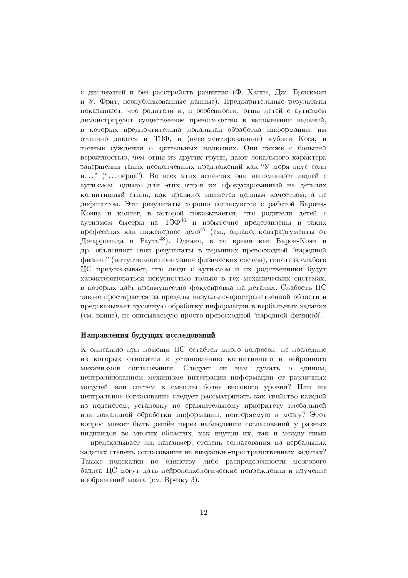с дислексией и без расстройств развития (Ф. Хаппе, Дж. Брискман и У. Фрит, неопубликованные данные). Предварительные результаты показывают, что родители и, в особенности, отцы детей с аутизмом демонстрируют существенное превосходство в выполнении заданий, в которых предпочтительна локальная обработка информации: им отлично даются и ТЗФ, и (несегментированные) кубики Коса, и точные суждения о зрительных иллюзиях. Они также с большей вероятностью, чем отцы из других групп, дают локального характера завершения таких неоконченных предложений как "У моря вкус соли и..." ("... перца"). Во всех этих аспектах они напоминают людей с аутизмом, однако для этих отцов их сфокусированный на деталях когнитивный стиль, как правило, является ценным качеством, а не дефицитом. Эти результаты хорошо согласуются с работой Барона-Коэна и коллег, в которой показывается, что родители детей с аутизмом быстры на ТЗФ<sup>46</sup> и избыточно представлены в таких профессиях как инженерное дело<sup>47</sup> (см., однако, контраргументы от Джаррольда и Раута<sup>48</sup>). Однако, в то время как Барон-Коэн и др. объясняют свои результаты в терминах превосходной "народной физики" (интуитивное понимание физических систем), гипотеза слабого ЦС предсказывает, что люди с аутизмом и их родственники будут характеризоваться искусностью только в тех механических системах, в которых даёт преимущество фокусировка на деталях. Слабость ЦС также простирается за пределы визуально-пространственной области и предсказывает кусочную обработку информации в вербальных задачах (см. выше), не описываемую просто превосходной "народной физикой".

## Направления будущих исследований

К описанию при помощи ЦС остаётся много вопросов, не последние из которых относятся к установлению когнитивного и нейронного механизмов согласования. Следует ли нам думать о едином, централизованном механизме интеграции информации от различных модулей или систем в смыслы более высокого уровня? Или же пентральное согласование следует рассматривать как свойство каждой из подсистем, установку по сравнительному приоритету глобальной или локальной обработки информации, повторяемую в мозгу? Этот вопрос может быть решён через наблюдения согласований у разных индивидов во многих областях, как внутри их, так и между ними — предсказывает ли, например, степень согласования на вербальных задачах степень согласования на визуально-пространственных задачах? Также подсказки по единству либо распределённости мозгового базиса ЦС могут дать нейропсихологические повреждения и изучение изображений мозга (см. Врезку 3).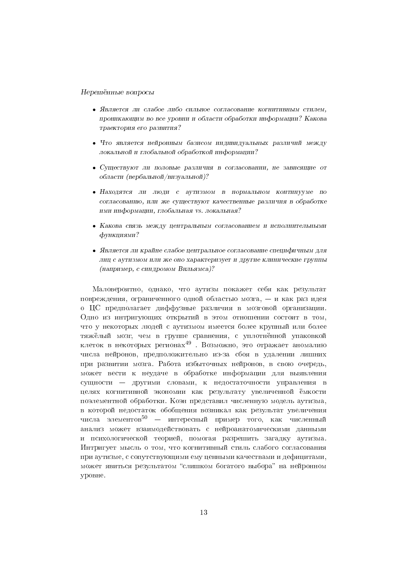#### Нерешённые вопросы

- Является ли слабое либо сильное согласование когнитивным стилем, проникающим во все уровни и области обработки информации? Какова траектория его развития?
- Что является нейронным базисом индивидуальных различий между локальной и глобальной обработкой информации?
- Существуют ли половые различия в согласовании, не зависящие от области (вербальной/визуальной)?
- Находятся ли люди с аутизмом в нормальном континууме по согласованию, или же существуют качественные различия в обработке ими информации, глобальная vs. локальная?
- Какова связь между центральным согласованием и исполнительными функциями?
- Является ли крайне слабое центральное согласование специфичным для лиц с аутизмом или же оно характеризует и другие клинические группы (например, с синдромом Вильямса)?

Маловероятно, однако, что аутизм покажет себя как результат повреждения, ограниченного одной областью мозга, - и как раз идея о ЦС предполагает диффузные различия в мозговой организации. Одно из интригующих открытий в этом отношении состоит в том, что у некоторых людей с аутизмом имеется более крупный или более тяжёлый мозг, чем в группе сравнения, с уплотнённой упаковкой клеток в некоторых регионах<sup>49</sup>. Возможно, это отражает аномалию числа нейронов, предположительно из-за сбоя в удалении лишних при развитии мозга. Работа избыточных нейронов, в свою очередь, может вести к неудаче в обработке информации для выявления сущности - другими словами, к недостаточности управления в целях когнитивной экономии как результату увеличенной ёмкости поэлементной обработки. Коэн представил численную модель аутизма, в которой недостаток обобщения возникал как результат увеличения числа элементов<sup>50</sup> — интересный пример того, как численный анализ может взаимодействовать с нейроанатомическими данными и психологической теорией, помогая разрешить загадку аутизма. Интригует мысль о том, что когнитивный стиль слабого согласования при аутизме, с сопутствующими ему ценными качествами и дефицитами, может явиться результатом "слишком богатого выбора" на нейронном уровне.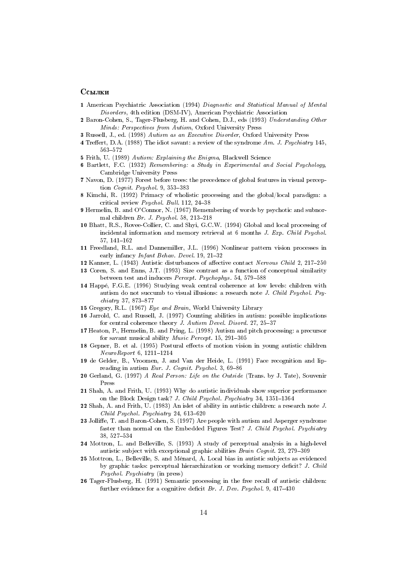#### Ссылки

- 1 American Psychiatric Association (1994) Diagnostic and Statistical Manual of Mental Disorders, 4th edition (DSM-IV), American Psychiatric Association
- 2 Baron-Cohen, S., Tager-Flusberg, H. and Cohen, D.J., eds (1993) Understanding Other Minds: Perspectives from Autism, Oxford University Press
- 3 Russell, J., ed. (1998) Autism as an Executive Disorder, Oxford University Press
- 4 Treffert, D.A. (1988) The idiot savant: a review of the syndrome Am. J. Psychiatry 145. 563-572
- 5 Frith, U. (1989) Autism: Explaining the Enigma, Blackwell Science
- 6 Bartlett, F.C. (1932) Remembering: a Study in Experimental and Social Psychology, Cambridge University Press
- 7 Navon, D. (1977) Forest before trees: the precedence of global features in visual perception Cognit. Psychol. 9, 353-383
- 8 Kimchi, R. (1992) Primacy of wholistic processing and the global/local paradigm: a critical review Psychol. Bull. 112, 24-38
- 9 Hermelin, B. and O'Connor, N. (1967) Remembering of words by psychotic and subnormal children Br. J. Psychol. 58, 213-218
- 10 Bhatt, R.S., Rovee-Collier, C. and Shyi, G.C.W. (1994) Global and local processing of incidental information and memory retrieval at 6 months J. Exp. Child Psychol. 57, 141-162
- 11 Freedland, R.L. and Dannemiller, J.L. (1996) Nonlinear pattern vision processes in early infancy Infant Behav. Devel. 19, 21-32
- 12 Kanner, L. (1943) Autistic disturbances of affective contact Nervous Child 2, 217-250
- 13 Coren, S. and Enns, J.T. (1993) Size contrast as a function of conceptual similarity between test and inducers Percept. Psychophys. 54, 579-588
- 14 Happé, F.G.E. (1996) Studying weak central coherence at low levels: children with autism do not succumb to visual illusions: a research note J. Child Psychol. Psychiatry 37, 873-877
- 15 Gregory, R.L. (1967) Eye and Brain, World University Library
- 16 Jarrold, C. and Russell, J. (1997) Counting abilities in autism: possible implications for central coherence theory J. Autism Devel. Disord. 27, 25-37
- 17 Heaton, P., Hermelin, B. and Pring, L. (1998) Autism and pitch processing: a precursor for savant musical ability Music Percept. 15, 291-305
- 18 Gepner, B. et al. (1995) Postural effects of motion vision in young autistic children NeuroReport 6, 1211-1214
- 19 de Gelder, B., Vroomen, J. and Van der Heide, L. (1991) Face recognition and lipreading in autism Eur. J. Cognit. Psychol. 3, 69-86
- 20 Gerland, G. (1997) A Real Person: Life on the Outside (Trans. by J. Tate), Souvenir Press
- 21 Shah, A. and Frith, U. (1993) Why do autistic individuals show superior performance on the Block Design task? J. Child Psychol. Psychiatry 34, 1351-1364
- 22 Shah, A. and Frith, U. (1983) An islet of ability in autistic children: a research note  $J$ . Child Psychol. Psychiatry 24, 613-620
- 23 Jolliffe, T. and Baron-Cohen, S. (1997) Are people with autism and Asperger syndrome faster than normal on the Embedded Figures Test? J. Child Psychol. Psychiatry 38, 527-534
- 24 Mottron, L. and Belleville, S. (1993) A study of perceptual analysis in a high-level autistic subject with exceptional graphic abilities Brain Cognit. 23, 279-309
- 25 Mottron, L., Belleville, S. and Ménard, A. Local bias in autistic subjects as evidenced by graphic tasks: perceptual hierarchization or working memory deficit? J. Child Psychol. Psychiatry (in press)
- 26 Tager-Flusberg, H. (1991) Semantic processing in the free recall of autistic children: further evidence for a cognitive deficit  $Br. J. Dev. Psychol. 9, 417-430$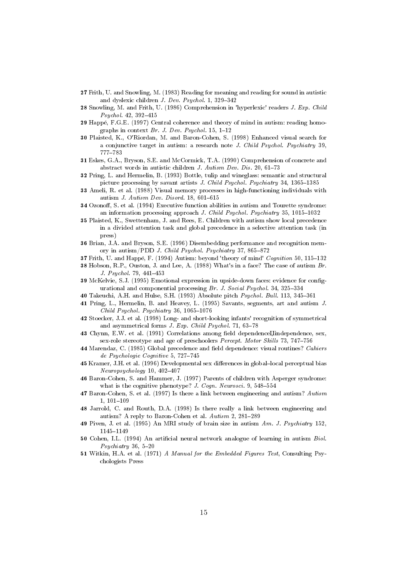- 27 Frith, U. and Snowling, M. (1983) Reading for meaning and reading for sound in autistic and dyslexic children J. Dev. Psychol. 1, 329-342
- 28 Snowling, M. and Frith, U. (1986) Comprehension in 'hyperlexic' readers J. Exp. Child Psychol. 42, 392-415
- 29 Happé, F.G.E. (1997) Central coherence and theory of mind in autism: reading homographs in context  $Br. J. Dev. Psychol. 15, 1-12$
- 30 Plaisted, K., O'Riordan, M. and Baron-Cohen, S. (1998) Enhanced visual search for a conjunctive target in autism: a research note J. Child Psychol. Psychiatry 39, 777-783
- 31 Eskes, G.A., Bryson, S.E. and McCormick, T.A. (1990) Comprehension of concrete and abstract words in autistic children J. Autism Dev. Dis. 20, 61-73
- 32 Pring, L. and Hermelin, B. (1993) Bottle, tulip and wineglass: semantic and structural picture processing by savant artists J. Child Psychol. Psychiatry 34, 1365-1385
- 33 Ameli, R. et al. (1988) Visual memory processes in high-functioning individuals with autism J. Autism Dev. Disord. 18, 601-615
- 34 Ozonoff, S. et al. (1994) Executive function abilities in autism and Tourette syndrome: an information processing approach J. Child Psychol. Psychiatry 35, 1015-1032
- 35 Plaisted, K., Swettenham, J. and Rees, E. Children with autism show local precedence in a divided attention task and global precedence in a selective attention task (in press)
- 36 Brian, J.A. and Bryson, S.E. (1996) Disembedding performance and recognition memory in autism/PDD J. Child Psychol. Psychiatry 37, 865-872
- 37 Frith, U. and Happé, F. (1994) Autism: beyond 'theory of mind' Cognition 50, 115-132
- 38 Hobson, R.P., Ouston, J. and Lee, A. (1988) What's in a face? The case of autism Br. J. Psychol. 79, 441-453
- 39 McKelvie, S.J. (1995) Emotional expression in upside-down faces: evidence for configurational and componential processing Br. J. Social Psychol. 34, 325-334
- 40 Takeuchi, A.H. and Hulse, S.H. (1993) Absolute pitch Psychol. Bull. 113, 345-361
- 41 Pring, L., Hermelin, B. and Heavey, L. (1995) Savants, segments, art and autism J. Child Psychol. Psychiatry 36, 1065-1076
- 42 Stoecker, J.J. et al. (1998) Long- and short-looking infants' recognition of symmetrical and asymmetrical forms J. Exp. Child Psychol. 71, 63-78
- 43 Chynn, E.W. et al. (1991) Correlations among field dependence Uindependence, sex, sex-role stereotype and age of preschoolers Percept. Motor Skills 73, 747-756
- 44 Marendaz, C. (1985) Global precedence and field dependence: visual routines? Cahiers de Psychologie Cognitive 5, 727-745
- 45 Kramer, J.H. et al. (1996) Developmental sex differences in global-local perceptual bias Neuropsychology 10, 402-407
- 46 Baron-Cohen, S. and Hammer, J. (1997) Parents of children with Asperger syndrome: what is the cognitive phenotype? J. Cogn. Neurosci. 9, 548-554
- 47 Baron-Cohen, S. et al. (1997) Is there a link between engineering and autism? Autism  $1, 101 - 109$
- 48 Jarrold, C. and Routh, D.A. (1998) Is there really a link between engineering and autism? A reply to Baron-Cohen et al. Autism 2, 281-289
- 49 Piven, J. et al. (1995) An MRI study of brain size in autism Am. J. Psychiatry 152, 1145-1149
- 50 Cohen, I.L. (1994) An artificial neural network analogue of learning in autism Biol.  $Psychiatry$  36, 5-20
- 51 Witkin, H.A. et al. (1971) A Manual for the Embedded Figures Test, Consulting Psychologists Press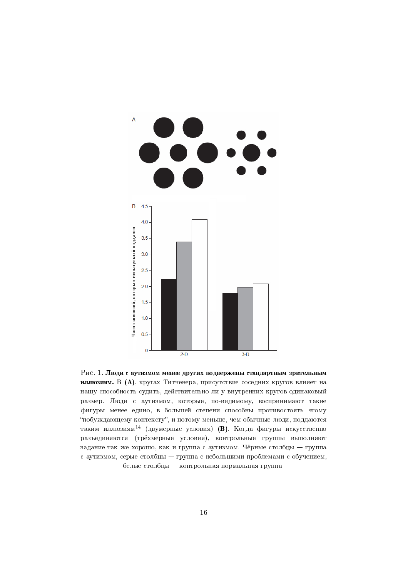

Рис. 1. Люди с аутизмом менее других подвержены стандартным зрительным иллюзиям. В (А), кругах Титченера, присутствие соседних кругов влияет на нашу способность судить, действительно ли у внутренних кругов одинаковый размер. Люди с аутизмом, которые, по-видимому, воспринимают такие фигуры менее едино, в большей степени способны противостоять этому "побуждающему контексту", и потому меньше, чем обычные люди, поддаются таким иллюзиям<sup>14</sup> (двумерные условия) (В). Когда фигуры искусственно разъединяются (трёхмерные условия), контрольные группы выполняют задание так же хорошо, как и группа с аутизмом. Чёрные столбцы - группа с аутизмом, серые столбцы — группа с небольшими проблемами с обучением, белые столбцы - контрольная нормальная группа.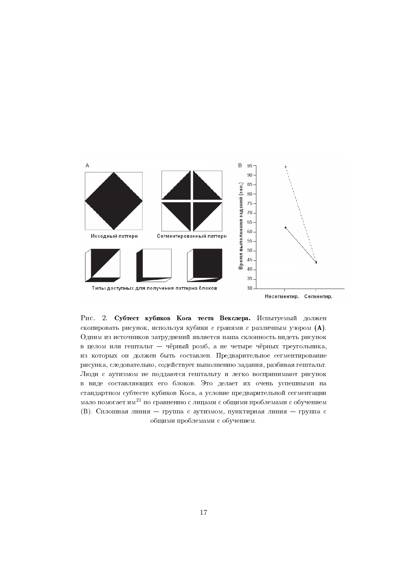

Pис. 2. Субтест кубиков Коса теста Векслера. Испытуемый должен скопировать рисунок, используя кубики с гранями с различным узором (А). Одним из источников затруднений является наша склонность видеть рисунок в целом или гештальт - чёрный ромб, а не четыре чёрных треугольника, из которых он должен быть составлен. Предварительное сегментирование рисунка, следовательно, содействует выполнению задания, разбивая гештальт. Люди с аутизмом не поддаются гештальту и легко воспринимают рисунок в виде составляющих его блоков. Это делает их очень успешными на стандартном субтесте кубиков Коса, а условие предварительной сегментации мало помогает им<sup>21</sup> по сравнению с лицами с общими проблемами с обучением (B). Сплошная линия - группа с аутизмом, пунктирная линия - группа с общими проблемами с обучением.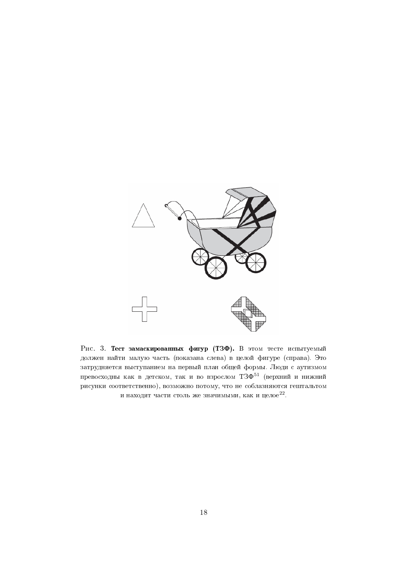

Рис. 3. Тест замаскированных фигур (ТЗФ). В этом тесте испытуемый должен найти малую часть (показана слева) в целой фигуре (справа). Это затрудняется выступанием на первый план общей формы. Люди с аутизмом превосходны как в детском, так и во взрослом  $T3\Phi^{51}$  (верхний и нижний рисунки соответственно), возможно потому, что не соблазняются гештальтом и находят части столь же значимыми, как и целое<sup>22</sup>.